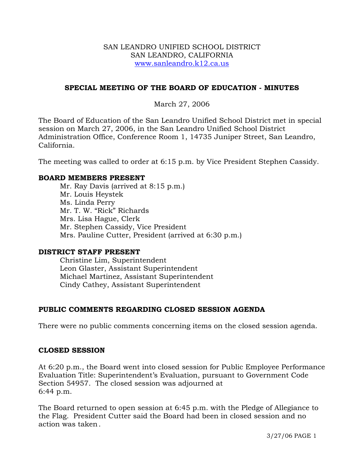### SAN LEANDRO UNIFIED SCHOOL DISTRICT SAN LEANDRO, CALIFORNIA www.sanleandro.k12.ca.us

### **SPECIAL MEETING OF THE BOARD OF EDUCATION - MINUTES**

March 27, 2006

The Board of Education of the San Leandro Unified School District met in special session on March 27, 2006, in the San Leandro Unified School District Administration Office, Conference Room 1, 14735 Juniper Street, San Leandro, California.

The meeting was called to order at 6:15 p.m. by Vice President Stephen Cassidy.

#### **BOARD MEMBERS PRESENT**

Mr. Ray Davis (arrived at 8:15 p.m.) Mr. Louis Heystek Ms. Linda Perry Mr. T. W. "Rick" Richards Mrs. Lisa Hague, Clerk Mr. Stephen Cassidy, Vice President Mrs. Pauline Cutter, President (arrived at 6:30 p.m.)

### **DISTRICT STAFF PRESENT**

Christine Lim, Superintendent Leon Glaster, Assistant Superintendent Michael Martinez, Assistant Superintendent Cindy Cathey, Assistant Superintendent

### **PUBLIC COMMENTS REGARDING CLOSED SESSION AGENDA**

There were no public comments concerning items on the closed session agenda.

#### **CLOSED SESSION**

At 6:20 p.m., the Board went into closed session for Public Employee Performance Evaluation Title: Superintendent's Evaluation, pursuant to Government Code Section 54957. The closed session was adjourned at 6:44 p.m.

The Board returned to open session at 6:45 p.m. with the Pledge of Allegiance to the Flag. President Cutter said the Board had been in closed session and no action was taken.

3/27/06 PAGE 1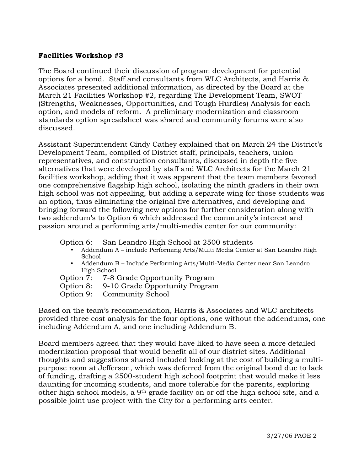## **Facilities Workshop #3**

The Board continued their discussion of program development for potential options for a bond. Staff and consultants from WLC Architects, and Harris & Associates presented additional information, as directed by the Board at the March 21 Facilities Workshop #2, regarding The Development Team, SWOT (Strengths, Weaknesses, Opportunities, and Tough Hurdles) Analysis for each option, and models of reform. A preliminary modernization and classroom standards option spreadsheet was shared and community forums were also discussed.

Assistant Superintendent Cindy Cathey explained that on March 24 the District's Development Team, compiled of District staff, principals, teachers, union representatives, and construction consultants, discussed in depth the five alternatives that were developed by staff and WLC Architects for the March 21 facilities workshop, adding that it was apparent that the team members favored one comprehensive flagship high school, isolating the ninth graders in their own high school was not appealing, but adding a separate wing for those students was an option, thus eliminating the original five alternatives, and developing and bringing forward the following new options for further consideration along with two addendum's to Option 6 which addressed the community's interest and passion around a performing arts/multi-media center for our community:

Option 6: San Leandro High School at 2500 students

- Addendum A include Performing Arts/Multi Media Center at San Leandro High School
- y Addendum B Include Performing Arts/Multi-Media Center near San Leandro High School
- Option 7: 7-8 Grade Opportunity Program
- Option 8: 9-10 Grade Opportunity Program
- Option 9: Community School

Based on the team's recommendation, Harris & Associates and WLC architects provided three cost analysis for the four options, one without the addendums, one including Addendum A, and one including Addendum B.

Board members agreed that they would have liked to have seen a more detailed modernization proposal that would benefit all of our district sites. Additional thoughts and suggestions shared included looking at the cost of building a multipurpose room at Jefferson, which was deferred from the original bond due to lack of funding, drafting a 2500-student high school footprint that would make it less daunting for incoming students, and more tolerable for the parents, exploring other high school models, a 9th grade facility on or off the high school site, and a possible joint use project with the City for a performing arts center.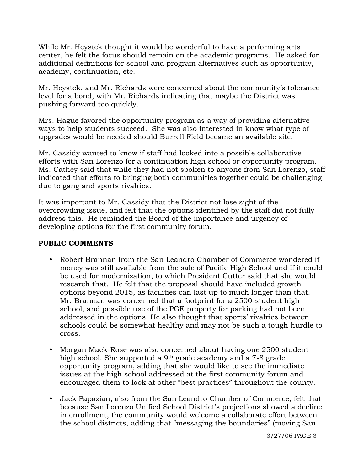While Mr. Heystek thought it would be wonderful to have a performing arts center, he felt the focus should remain on the academic programs. He asked for additional definitions for school and program alternatives such as opportunity, academy, continuation, etc.

Mr. Heystek, and Mr. Richards were concerned about the community's tolerance level for a bond, with Mr. Richards indicating that maybe the District was pushing forward too quickly.

Mrs. Hague favored the opportunity program as a way of providing alternative ways to help students succeed. She was also interested in know what type of upgrades would be needed should Burrell Field became an available site.

Mr. Cassidy wanted to know if staff had looked into a possible collaborative efforts with San Lorenzo for a continuation high school or opportunity program. Ms. Cathey said that while they had not spoken to anyone from San Lorenzo, staff indicated that efforts to bringing both communities together could be challenging due to gang and sports rivalries.

It was important to Mr. Cassidy that the District not lose sight of the overcrowding issue, and felt that the options identified by the staff did not fully address this. He reminded the Board of the importance and urgency of developing options for the first community forum.

### **PUBLIC COMMENTS**

- Robert Brannan from the San Leandro Chamber of Commerce wondered if money was still available from the sale of Pacific High School and if it could be used for modernization, to which President Cutter said that she would research that. He felt that the proposal should have included growth options beyond 2015, as facilities can last up to much longer than that. Mr. Brannan was concerned that a footprint for a 2500-student high school, and possible use of the PGE property for parking had not been addressed in the options. He also thought that sports' rivalries between schools could be somewhat healthy and may not be such a tough hurdle to cross.
- Morgan Mack-Rose was also concerned about having one 2500 student high school. She supported a 9<sup>th</sup> grade academy and a 7-8 grade opportunity program, adding that she would like to see the immediate issues at the high school addressed at the first community forum and encouraged them to look at other "best practices" throughout the county.
- Jack Papazian, also from the San Leandro Chamber of Commerce, felt that because San Lorenzo Unified School District's projections showed a decline in enrollment, the community would welcome a collaborate effort between the school districts, adding that "messaging the boundaries" (moving San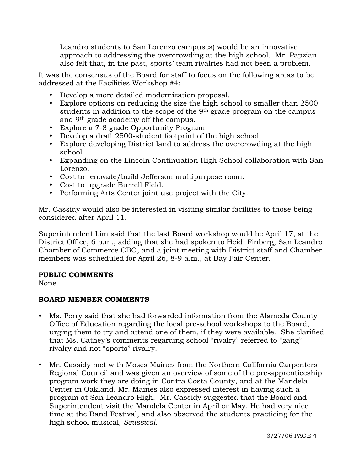Leandro students to San Lorenzo campuses) would be an innovative approach to addressing the overcrowding at the high school. Mr. Papzian also felt that, in the past, sports' team rivalries had not been a problem.

It was the consensus of the Board for staff to focus on the following areas to be addressed at the Facilities Workshop #4:

- Develop a more detailed modernization proposal.
- Explore options on reducing the size the high school to smaller than 2500 students in addition to the scope of the 9th grade program on the campus and 9th grade academy off the campus.
- Explore a 7-8 grade Opportunity Program.
- Develop a draft 2500-student footprint of the high school.
- Explore developing District land to address the overcrowding at the high school.
- y Expanding on the Lincoln Continuation High School collaboration with San Lorenzo.
- Cost to renovate/build Jefferson multipurpose room.
- Cost to upgrade Burrell Field.
- Performing Arts Center joint use project with the City.

Mr. Cassidy would also be interested in visiting similar facilities to those being considered after April 11.

Superintendent Lim said that the last Board workshop would be April 17, at the District Office, 6 p.m., adding that she had spoken to Heidi Finberg, San Leandro Chamber of Commerce CBO, and a joint meeting with District staff and Chamber members was scheduled for April 26, 8-9 a.m., at Bay Fair Center.

## **PUBLIC COMMENTS**

None

# **BOARD MEMBER COMMENTS**

- Ms. Perry said that she had forwarded information from the Alameda County Office of Education regarding the local pre-school workshops to the Board, urging them to try and attend one of them, if they were available. She clarified that Ms. Cathey's comments regarding school "rivalry" referred to "gang" rivalry and not "sports" rivalry.
- Mr. Cassidy met with Moses Maines from the Northern California Carpenters Regional Council and was given an overview of some of the pre-apprenticeship program work they are doing in Contra Costa County, and at the Mandela Center in Oakland. Mr. Maines also expressed interest in having such a program at San Leandro High. Mr. Cassidy suggested that the Board and Superintendent visit the Mandela Center in April or May. He had very nice time at the Band Festival, and also observed the students practicing for the high school musical, *Seussical.*